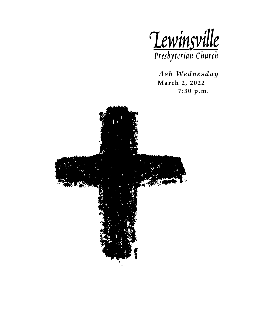

 *Ash Wednesday*  **March 2 , 2022 7: 30 p.m.**

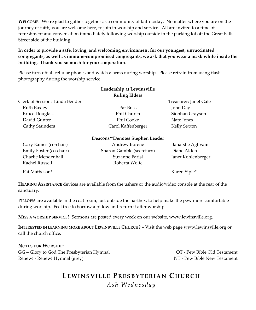**WELCOME**. We're glad to gather together as a community of faith today. No matter where you are on the journey of faith, you are welcome here, to join in worship and service. All are invited to a time of refreshment and conversation immediately following worship outside in the parking lot off the Great Falls Street side of the building

#### **In order to provide a safe, loving, and welcoming environment for our youngest, unvaccinated congregants, as well as immune-compromised congregants, we ask that you wear a mask while inside the building. Thank you so much for your cooperation**.

Please turn off all cellular phones and watch alarms during worship. Please refrain from using flash photography during the worship service.

|                                | Leadership at Lewinsville       |                       |
|--------------------------------|---------------------------------|-----------------------|
|                                | <b>Ruling Elders</b>            |                       |
| Clerk of Session: Linda Bender |                                 | Treasurer: Janet Gale |
| Ruth Baxley                    | Pat Buss                        | John Day              |
| <b>Bruce Douglass</b>          | Phil Church                     | Siobhan Grayson       |
| David Gunter                   | Phil Cooke                      | Nate Jones            |
| Cathy Saunders                 | Carol Kaffenberger              | Kelly Sexton          |
|                                | Deacons/*Denotes Stephen Leader |                       |
| Gary Eames (co-chair)          | Andrew Borene                   | Banafshe Aghvami      |
| Emily Foster (co-chair)        | Sharon Gamble (secretary)       | Diane Alden           |
| Charlie Mendenhall             | Suzanne Parisi                  | Janet Kohlenberger    |
| Rachel Russell                 | Roberta Wolfe                   |                       |
| Pat Matheson*                  |                                 | Karen Siple*          |

**HEARING ASSISTANCE** devices are available from the ushers or the audio/video console at the rear of the sanctuary.

**PILLOWS** are available in the coat room, just outside the narthex, to help make the pew more comfortable during worship. Feel free to borrow a pillow and return it after worship.

**MISS A WORSHIP SERVICE?** Sermons are posted every week on our website, www.lewinsville.org.

**INTERESTED IN LEARNING MORE ABOUT LEWINSVILLE CHURCH?** – Visit the web page [www.lewinsville.org](http://www.lewinsville.org/) or call the church office.

#### **NOTES FOR WORSHIP:**

GG – Glory to God The Presbyterian Hymnal CG – OT - Pew Bible Old Testament Renew! - Renew! Hymnal (grey) NT - Pew Bible New Testament

# **LEWINSVILLE P RESBYTERIAN C HURCH**

*Ash Wednesday*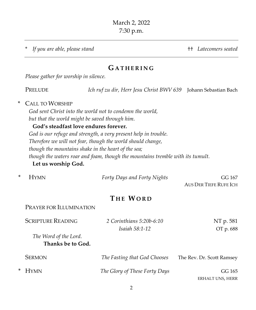\* *If you are able, please stand* †† *Latecomers seated*

# **G ATHE RING**

*Please gather for worship in silence.*

PRELUDE *Ich ruf zu dir, Herr Jesu Christ BWV 639* Johann Sebastian Bach

#### \* CALL TO WORSHIP

*God sent Christ into the world not to condemn the world, but that the world might be saved through him.*

## **God's steadfast love endures forever.**

*God is our refuge and strength, a very present help in trouble. Therefore we will not fear, though the world should change, though the mountains shake in the heart of the sea; though the waters roar and foam, though the mountains tremble with its tumult.*

# **Let us worship God.**

| * HYMN | Forty Days and Forty Nights | GG 167                 |
|--------|-----------------------------|------------------------|
|        |                             | AUS DER TIEFE RUFE ICH |

# **T HE WORD**

#### PRAYER FOR ILLUMINATION

| <b>SCRIPTURE READING</b>                   | 2 Corinthians 5:20b-6:10<br><i>Isaiah 58:1-12</i> | NT p. 581<br>OT p. 688    |
|--------------------------------------------|---------------------------------------------------|---------------------------|
| The Word of the Lord.<br>Thanks be to God. |                                                   |                           |
| <b>SERMON</b>                              | The Fasting that God Chooses                      | The Rev. Dr. Scott Ramsey |

\* HYMN *The Glory of These Forty Days* GG 165

ERHALT UNS, HERR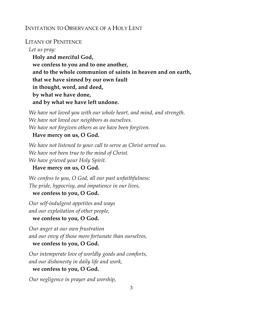# INVITATION TO OBSERVANCE OF A HOLY LENT

#### LITANY OF PENITENCE

*Let us pray:* **Holy and merciful God, we confess to you and to one another, and to the whole communion of saints in heaven and on earth, that we have sinned by our own fault in thought, word, and deed, by what we have done, and by what we have left undone.**

*We have not loved you with our whole heart, and mind, and strength. We have not loved our neighbors as ourselves. We have not forgiven others as we have been forgiven.*

#### **Have mercy on us, O God.**

*We have not listened to your call to serve as Christ served us. We have not been true to the mind of Christ. We have grieved your Holy Spirit.*

# **Have mercy on us, O God.**

*We confess to you, O God, all our past unfaithfulness: The pride, hypocrisy, and impatience in our lives,*

# **we confess to you, O God.**

*Our self-indulgent appetites and ways and our exploitation of other people,*

**we confess to you, O God.**

*Our anger at our own frustration and our envy of those more fortunate than ourselves,*

# **we confess to you, O God.**

*Our intemperate love of worldly goods and comforts, and our dishonesty in daily life and work,*

#### **we confess to you, O God.**

*Our negligence in prayer and worship,*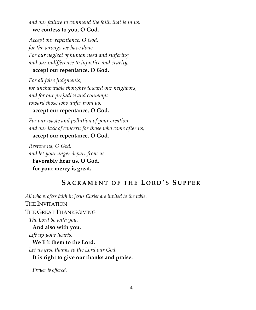*and our failure to commend the faith that is in us,* **we confess to you, O God.**

*Accept our repentance, O God, for the wrongs we have done. For our neglect of human need and suffering and our indifference to injustice and cruelty,*

# **accept our repentance, O God.**

*For all false judgments, for uncharitable thoughts toward our neighbors, and for our prejudice and contempt toward those who differ from us,*

# **accept our repentance, O God.**

*For our waste and pollution of your creation and our lack of concern for those who come after us,*

# **accept our repentance, O God.**

*Restore us, O God, and let your anger depart from us.* **Favorably hear us, O God, for your mercy is great.**

# **S ACRAMENT OF THE L ORD ' S S UPPER**

*All who profess faith in Jesus Christ are invited to the table.* THE INVITATION THE GREAT THANKSGIVING *The Lord be with you.* **And also with you.** *Lift up your hearts.* **We lift them to the Lord.** *Let us give thanks to the Lord our God.* **It is right to give our thanks and praise.**

*Prayer is offered.*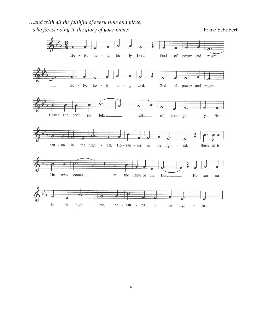…*and with all the faithful of every time and place, who forever sing to the glory of your name:* Franz Schubert Franz Schubert

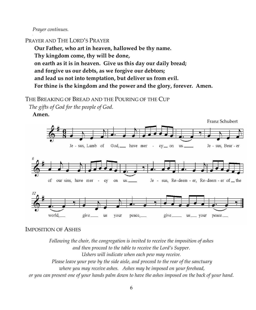*Prayer continues.*

#### PRAYER AND THE LORD'S PRAYER

**Our Father, who art in heaven, hallowed be thy name. Thy kingdom come, thy will be done, on earth as it is in heaven. Give us this day our daily bread; and forgive us our debts, as we forgive our debtors; and lead us not into temptation, but deliver us from evil. For thine is the kingdom and the power and the glory, forever. Amen.**

### THE BREAKING OF BREAD AND THE POURING OF THE CUP

*The gifts of God for the people of God.*

**Amen.**



#### IMPOSITION OF ASHES

*Following the choir, the congregation is invited to receive the imposition of ashes and then proceed to the table to receive the Lord's Supper. Ushers will indicate when each pew may receive. Please leave your pew by the side aisle, and proceed to the rear of the sanctuary where you may receive ashes. Ashes may be imposed on your forehead, or you can present one of your hands palm down to have the ashes imposed on the back of your hand.*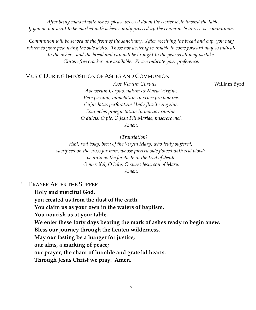*After being marked with ashes, please proceed down the center aisle toward the table. If you do not want to be marked with ashes, simply proceed up the center aisle to receive communion.*

*Communion will be served at the front of the sanctuary. After receiving the bread and cup, you may return to your pew using the side aisles. Those not desiring or unable to come forward may so indicate to the ushers, and the bread and cup will be brought to the pew so all may partake. Gluten-free crackers are available. Please indicate your preference.*

*.*

MUSIC DURING IMPOSITION OF ASHES AND COMMUNION

*Ave Verum Corpus* William Byrd

*Ave verum Corpus, natum ex Maria Virgine, Vere passum, immolatum In cruce pro homine, Cujus latus perforatum Unda fluxit sanguine: Esto nobis praegustatum In mortis examine. O dulcis, O pie, O Jesu Fili Mariae, miserere mei. Amen.*

*(Translation)*

*Hail, real body, born of the Virgin Mary, who truly suffered, sacrificed on the cross for man, whose pierced side flowed with real blood; be unto us the foretaste in the trial of death. O merciful, O holy, O sweet Jesu, son of Mary. Amen.*

\* PRAYER AFTER THE SUPPER

**Holy and merciful God,**

**you created us from the dust of the earth.**

**You claim us as your own in the waters of baptism.**

**You nourish us at your table.**

**We enter these forty days bearing the mark of ashes ready to begin anew.**

**Bless our journey through the Lenten wilderness.**

**May our fasting be a hunger for justice;**

**our alms, a marking of peace;**

**our prayer, the chant of humble and grateful hearts.**

**Through Jesus Christ we pray. Amen.**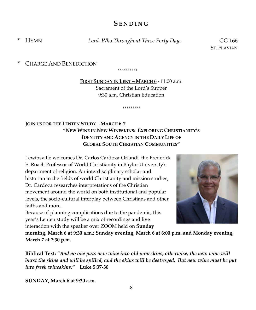# **SENDIN G**

\* HYMN *Lord, Who Throughout These Forty Days* GG 166

ST. FLAVIAN

\* CHARGE AND BENEDICTION

\*\*\*\*\*\*\*\*\*\*

**FIRST SUNDAY IN LENT – MARCH 6** - 11:00 a.m. Sacrament of the Lord's Supper 9:30 a.m. Christian Education

\*\*\*\*\*\*\*\*\*

# **JOIN US FOR THE LENTEN STUDY – MARCH 6-7 "NEW WINE IN NEW WINESKINS: EXPLORING CHRISTIANITY'S IDENTITY AND AGENCY IN THE DAILY LIFE OF GLOBAL SOUTH CHRISTIAN COMMUNITIES"**

Lewinsville welcomes Dr. Carlos Cardoza-Orlandi, the Frederick E. Roach Professor of World Christianity in Baylor University's department of religion. An interdisciplinary scholar and historian in the fields of world Christianity and mission studies, Dr. Cardoza researches interpretations of the Christian movement around the world on both institutional and popular levels, the socio-cultural interplay between Christians and other faiths and more.

Because of planning complications due to the pandemic, this year's Lenten study will be a mix of recordings and live interaction with the speaker over ZOOM held on **Sunday** 



**morning, March 6 at 9:30 a.m.; Sunday evening, March 6 at 6:00 p.m. and Monday evening, March 7 at 7:30 p.m.** 

**Biblical Text:** *"And no one puts new wine into old wineskins; otherwise, the new wine will burst the skins and will be spilled, and the skins will be destroyed. But new wine must be put into fresh wineskins."* **Luke 5:37-38**

**SUNDAY, March 6 at 9:30 a.m.**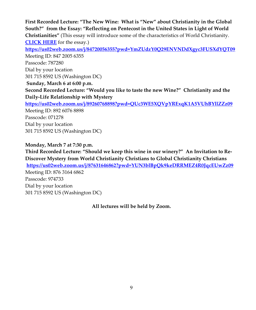**First Recorded Lecture: "The New Wine: What is "New" about Christianity in the Global South?" from the Essay: "Reflecting on Pentecost in the United States in Light of World Christianities"** (This essay will introduce some of the characteristics of World Christianity. **[CLICK HERE](https://www.lewinsville.org/events/lenten-studies-2022/)** for the essay.) **<https://us02web.zoom.us/j/84720056355?pwd=YmZUdzY0Q29ENVNDdXgyc3FUSXdYQT09>** Meeting ID: 847 2005 6355 Passcode: 787280 Dial by your location 301 715 8592 US (Washington DC) **Sunday, March 6 at 6:00 p.m. Second Recorded Lecture: "Would you like to taste the new Wine?" Christianity and the Daily-Life Relationship with Mystery <https://us02web.zoom.us/j/89260768898?pwd=QUc3WE5XQVpYRExqK1A5VUhBYllZZz09>** Meeting ID: 892 6076 8898 Passcode: 071278 Dial by your location 301 715 8592 US (Washington DC)

**Monday, March 7 at 7:30 p.m.**

**Third Recorded Lecture: "Should we keep this wine in our winery?" An Invitation to Re-Discover Mystery from World Christianity Christians to Global Christianity Christians <https://us02web.zoom.us/j/87631646862?pwd=YUN3blBpQk9keDRRMEZ4R0JqcEUwZz09>** Meeting ID: 876 3164 6862 Passcode: 974733 Dial by your location 301 715 8592 US (Washington DC)

**All lectures will be held by Zoom.**